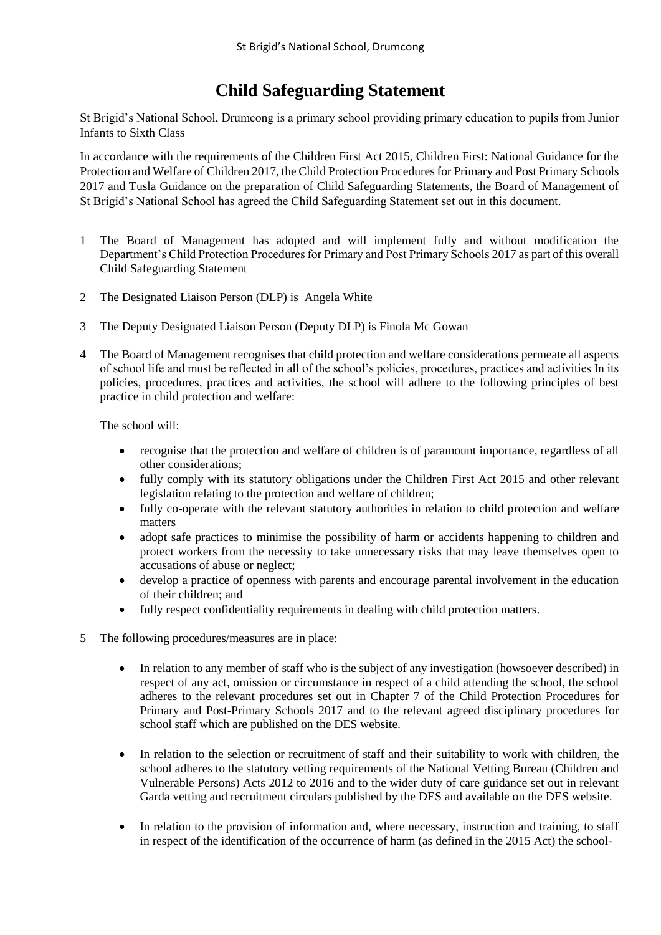## **Child Safeguarding Statement**

St Brigid's National School, Drumcong is a primary school providing primary education to pupils from Junior Infants to Sixth Class

In accordance with the requirements of the Children First Act 2015, Children First: National Guidance for the Protection and Welfare of Children 2017, the Child Protection Procedures for Primary and Post Primary Schools 2017 and Tusla Guidance on the preparation of Child Safeguarding Statements, the Board of Management of St Brigid's National School has agreed the Child Safeguarding Statement set out in this document.

- 1 The Board of Management has adopted and will implement fully and without modification the Department's Child Protection Procedures for Primary and Post Primary Schools 2017 as part of this overall Child Safeguarding Statement
- 2 The Designated Liaison Person (DLP) is Angela White
- 3 The Deputy Designated Liaison Person (Deputy DLP) is Finola Mc Gowan
- 4 The Board of Management recognises that child protection and welfare considerations permeate all aspects of school life and must be reflected in all of the school's policies, procedures, practices and activities In its policies, procedures, practices and activities, the school will adhere to the following principles of best practice in child protection and welfare:

The school will:

- recognise that the protection and welfare of children is of paramount importance, regardless of all other considerations;
- fully comply with its statutory obligations under the Children First Act 2015 and other relevant legislation relating to the protection and welfare of children;
- fully co-operate with the relevant statutory authorities in relation to child protection and welfare matters
- adopt safe practices to minimise the possibility of harm or accidents happening to children and protect workers from the necessity to take unnecessary risks that may leave themselves open to accusations of abuse or neglect;
- develop a practice of openness with parents and encourage parental involvement in the education of their children; and
- fully respect confidentiality requirements in dealing with child protection matters.
- 5 The following procedures/measures are in place:
	- In relation to any member of staff who is the subject of any investigation (howsoever described) in respect of any act, omission or circumstance in respect of a child attending the school, the school adheres to the relevant procedures set out in Chapter 7 of the Child Protection Procedures for Primary and Post-Primary Schools 2017 and to the relevant agreed disciplinary procedures for school staff which are published on the DES website.
	- In relation to the selection or recruitment of staff and their suitability to work with children, the school adheres to the statutory vetting requirements of the National Vetting Bureau (Children and Vulnerable Persons) Acts 2012 to 2016 and to the wider duty of care guidance set out in relevant Garda vetting and recruitment circulars published by the DES and available on the DES website.
	- In relation to the provision of information and, where necessary, instruction and training, to staff in respect of the identification of the occurrence of harm (as defined in the 2015 Act) the school-